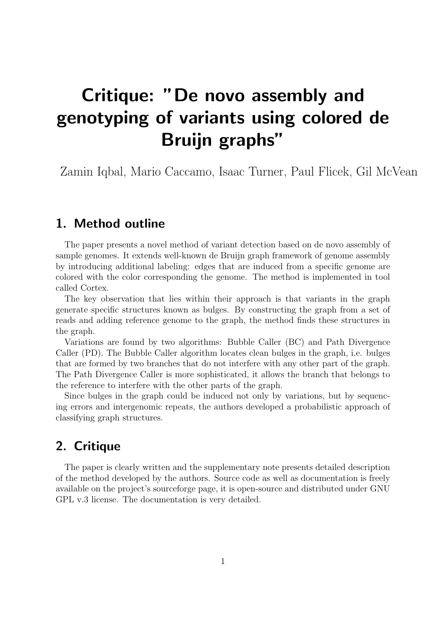## Critique: "De novo assembly and genotyping of variants using colored de Bruijn graphs"

Zamin Iqbal, Mario Caccamo, Isaac Turner, Paul Flicek, Gil McVean

## 1. Method outline

The paper presents a novel method of variant detection based on de novo assembly of sample genomes. It extends well-known de Bruijn graph framework of genome assembly by introducing additional labeling: edges that are induced from a specific genome are colored with the color corresponding the genome. The method is implemented in tool called Cortex.

The key observation that lies within their approach is that variants in the graph generate specific structures known as bulges. By constructing the graph from a set of reads and adding reference genome to the graph, the method finds these structures in the graph.

Variations are found by two algorithms: Bubble Caller (BC) and Path Divergence Caller (PD). The Bubble Caller algorithm locates clean bulges in the graph, i.e. bulges that are formed by two branches that do not interfere with any other part of the graph. The Path Divergence Caller is more sophisticated, it allows the branch that belongs to the reference to interfere with the other parts of the graph.

Since bulges in the graph could be induced not only by variations, but by sequencing errors and intergenomic repeats, the authors developed a probabilistic approach of classifying graph structures.

## 2. Critique

The paper is clearly written and the supplementary note presents detailed description of the method developed by the authors. Source code as well as documentation is freely available on the project's sourceforge page, it is open-source and distributed under GNU GPL v.3 license. The documentation is very detailed.